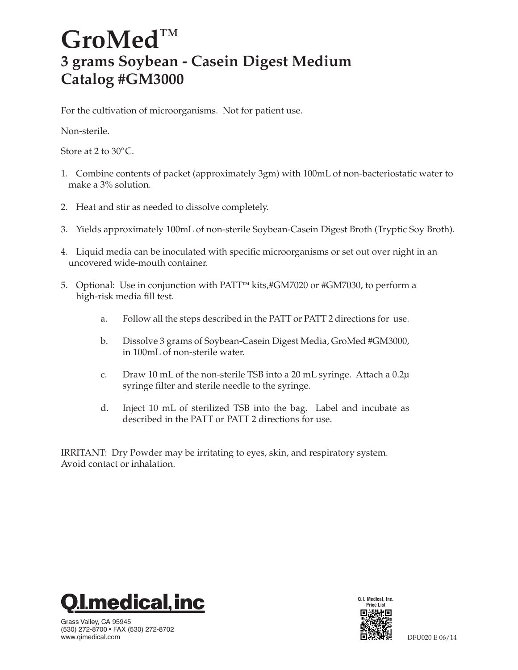## GroMed<sup>TM</sup> **3 grams Soybean - Casein Digest Medium Catalog #GM3000**

For the cultivation of microorganisms. Not for patient use.

Non-sterile.

Store at 2 to  $30^{\circ}$ C.

- 1. Combine contents of packet (approximately 3gm) with 100mL of non-bacteriostatic water to make a 3% solution.
- 2. Heat and stir as needed to dissolve completely.
- 3. Yields approximately 100mL of non-sterile Soybean-Casein Digest Broth (Tryptic Soy Broth).
- 4. Liquid media can be inoculated with specific microorganisms or set out over night in an uncovered wide-mouth container.
- 5. Optional: Use in conjunction with PATT<sup>M</sup> kits,#GM7020 or #GM7030, to perform a high-risk media fill test.
	- a. Follow all the steps described in the PATT or PATT 2 directions for use.
	- b. Dissolve 3 grams of Soybean-Casein Digest Media, GroMed #GM3000, in 100mL of non-sterile water.
	- c. Draw 10 mL of the non-sterile TSB into a 20 mL syringe. Attach a 0.2µ syringe filter and sterile needle to the syringe.
	- d. Inject 10 mL of sterilized TSB into the bag. Label and incubate as described in the PATT or PATT 2 directions for use.

IRRITANT: Dry Powder may be irritating to eyes, skin, and respiratory system. Avoid contact or inhalation.



Grass Valley, CA 95945 (530) 272-8700 • FAX (530) 272-8702 www.qimedical.com